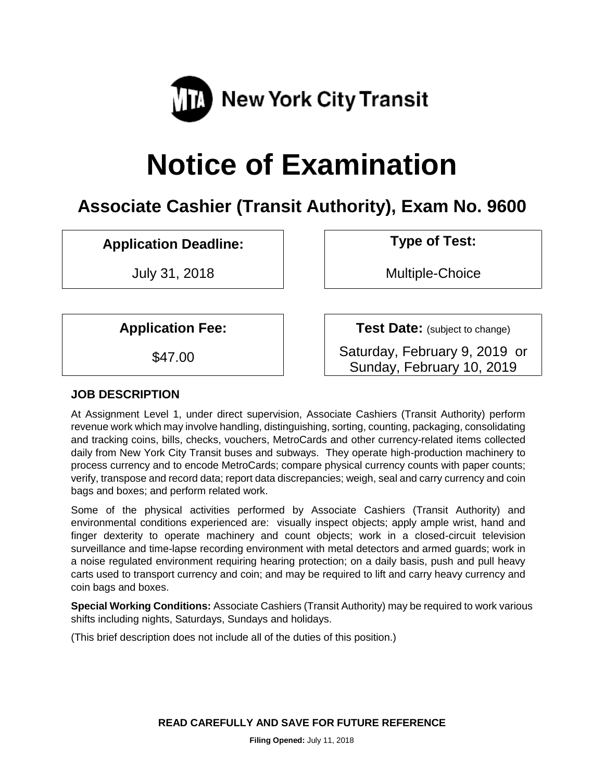

# **Notice of Examination**

# **Associate Cashier (Transit Authority), Exam No. 9600**

# **Application Deadline: Type of Test:**

July 31, 2018 Multiple-Choice

**Application Fee:**  $\vert$  **Test Date:** (subject to change)

\$47.00 **Saturday, February 9, 2019 or** Sunday, February 10, 2019

# **JOB DESCRIPTION**

At Assignment Level 1, under direct supervision, Associate Cashiers (Transit Authority) perform revenue work which may involve handling, distinguishing, sorting, counting, packaging, consolidating and tracking coins, bills, checks, vouchers, MetroCards and other currency-related items collected daily from New York City Transit buses and subways. They operate high-production machinery to process currency and to encode MetroCards; compare physical currency counts with paper counts; verify, transpose and record data; report data discrepancies; weigh, seal and carry currency and coin bags and boxes; and perform related work.

Some of the physical activities performed by Associate Cashiers (Transit Authority) and environmental conditions experienced are: visually inspect objects; apply ample wrist, hand and finger dexterity to operate machinery and count objects; work in a closed-circuit television surveillance and time-lapse recording environment with metal detectors and armed guards; work in a noise regulated environment requiring hearing protection; on a daily basis, push and pull heavy carts used to transport currency and coin; and may be required to lift and carry heavy currency and coin bags and boxes.

**Special Working Conditions:** Associate Cashiers (Transit Authority) may be required to work various shifts including nights, Saturdays, Sundays and holidays.

(This brief description does not include all of the duties of this position.)

**READ CAREFULLY AND SAVE FOR FUTURE REFERENCE**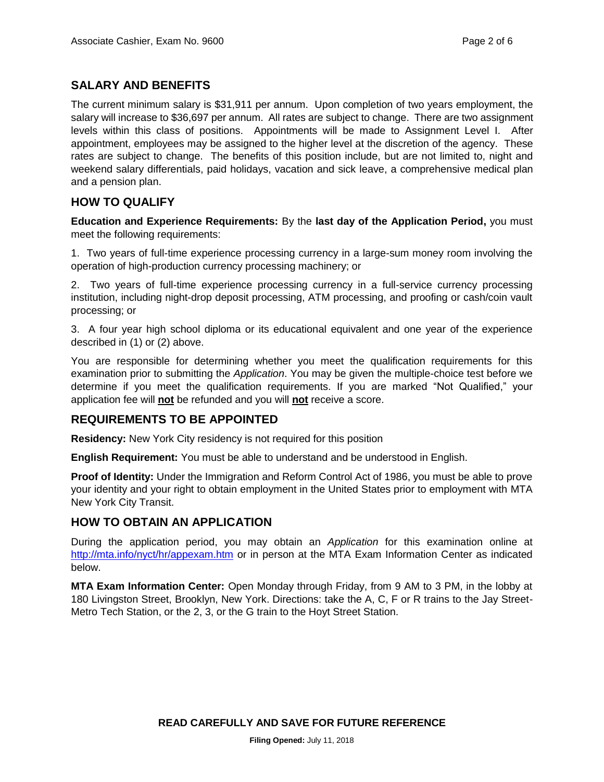# **SALARY AND BENEFITS**

The current minimum salary is \$31,911 per annum. Upon completion of two years employment, the salary will increase to \$36,697 per annum. All rates are subject to change. There are two assignment levels within this class of positions. Appointments will be made to Assignment Level I. After appointment, employees may be assigned to the higher level at the discretion of the agency. These rates are subject to change. The benefits of this position include, but are not limited to, night and weekend salary differentials, paid holidays, vacation and sick leave, a comprehensive medical plan and a pension plan.

# **HOW TO QUALIFY**

**Education and Experience Requirements:** By the **last day of the Application Period,** you must meet the following requirements:

1. Two years of full-time experience processing currency in a large-sum money room involving the operation of high-production currency processing machinery; or

2. Two years of full-time experience processing currency in a full-service currency processing institution, including night-drop deposit processing, ATM processing, and proofing or cash/coin vault processing; or

3. A four year high school diploma or its educational equivalent and one year of the experience described in (1) or (2) above.

You are responsible for determining whether you meet the qualification requirements for this examination prior to submitting the *Application*. You may be given the multiple-choice test before we determine if you meet the qualification requirements. If you are marked "Not Qualified," your application fee will **not** be refunded and you will **not** receive a score.

# **REQUIREMENTS TO BE APPOINTED**

**Residency:** New York City residency is not required for this position

**English Requirement:** You must be able to understand and be understood in English.

**Proof of Identity:** Under the Immigration and Reform Control Act of 1986, you must be able to prove your identity and your right to obtain employment in the United States prior to employment with MTA New York City Transit.

#### **HOW TO OBTAIN AN APPLICATION**

During the application period, you may obtain an *Application* for this examination online at <http://mta.info/nyct/hr/appexam.htm> or in person at the MTA Exam Information Center as indicated below.

**MTA Exam Information Center:** Open Monday through Friday, from 9 AM to 3 PM, in the lobby at 180 Livingston Street, Brooklyn, New York. Directions: take the A, C, F or R trains to the Jay Street-Metro Tech Station, or the 2, 3, or the G train to the Hoyt Street Station.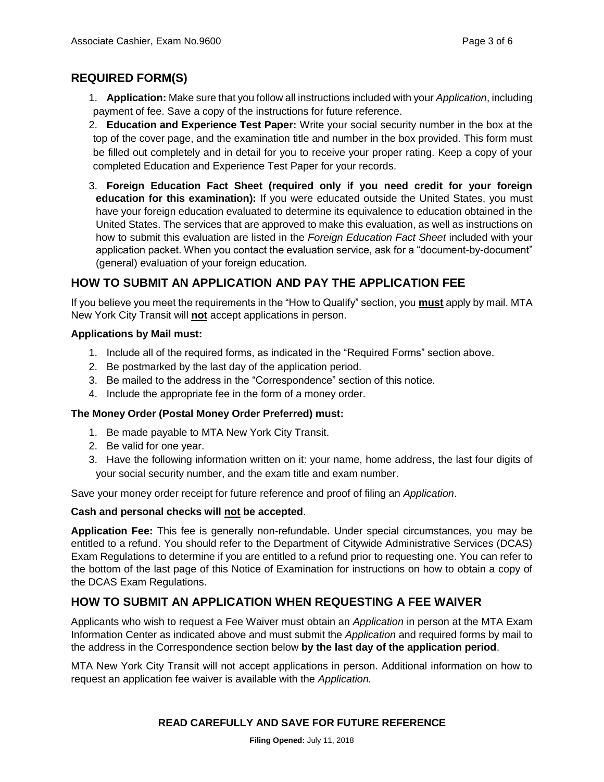# **REQUIRED FORM(S)**

- 1. **Application:** Make sure that you follow all instructions included with your *Application*, including payment of fee. Save a copy of the instructions for future reference.
- 2. **Education and Experience Test Paper:** Write your social security number in the box at the top of the cover page, and the examination title and number in the box provided. This form must be filled out completely and in detail for you to receive your proper rating. Keep a copy of your completed Education and Experience Test Paper for your records.
- 3. **Foreign Education Fact Sheet (required only if you need credit for your foreign education for this examination):** If you were educated outside the United States, you must have your foreign education evaluated to determine its equivalence to education obtained in the United States. The services that are approved to make this evaluation, as well as instructions on how to submit this evaluation are listed in the *Foreign Education Fact Sheet* included with your application packet. When you contact the evaluation service, ask for a "document-by-document" (general) evaluation of your foreign education.

# **HOW TO SUBMIT AN APPLICATION AND PAY THE APPLICATION FEE**

If you believe you meet the requirements in the "How to Qualify" section, you **must** apply by mail. MTA New York City Transit will **not** accept applications in person.

#### **Applications by Mail must:**

- 1. Include all of the required forms, as indicated in the "Required Forms" section above.
- 2. Be postmarked by the last day of the application period.
- 3. Be mailed to the address in the "Correspondence" section of this notice.
- 4. Include the appropriate fee in the form of a money order.

#### **The Money Order (Postal Money Order Preferred) must:**

- 1. Be made payable to MTA New York City Transit.
- 2. Be valid for one year.
- 3. Have the following information written on it: your name, home address, the last four digits of your social security number, and the exam title and exam number.

Save your money order receipt for future reference and proof of filing an *Application*.

#### **Cash and personal checks will not be accepted**.

**Application Fee:** This fee is generally non-refundable. Under special circumstances, you may be entitled to a refund. You should refer to the Department of Citywide Administrative Services (DCAS) Exam Regulations to determine if you are entitled to a refund prior to requesting one. You can refer to the bottom of the last page of this Notice of Examination for instructions on how to obtain a copy of the DCAS Exam Regulations.

# **HOW TO SUBMIT AN APPLICATION WHEN REQUESTING A FEE WAIVER**

Applicants who wish to request a Fee Waiver must obtain an *Application* in person at the MTA Exam Information Center as indicated above and must submit the *Application* and required forms by mail to the address in the Correspondence section below **by the last day of the application period**.

MTA New York City Transit will not accept applications in person. Additional information on how to request an application fee waiver is available with the *Application.*

#### **READ CAREFULLY AND SAVE FOR FUTURE REFERENCE**

**Filing Opened:** July 11, 2018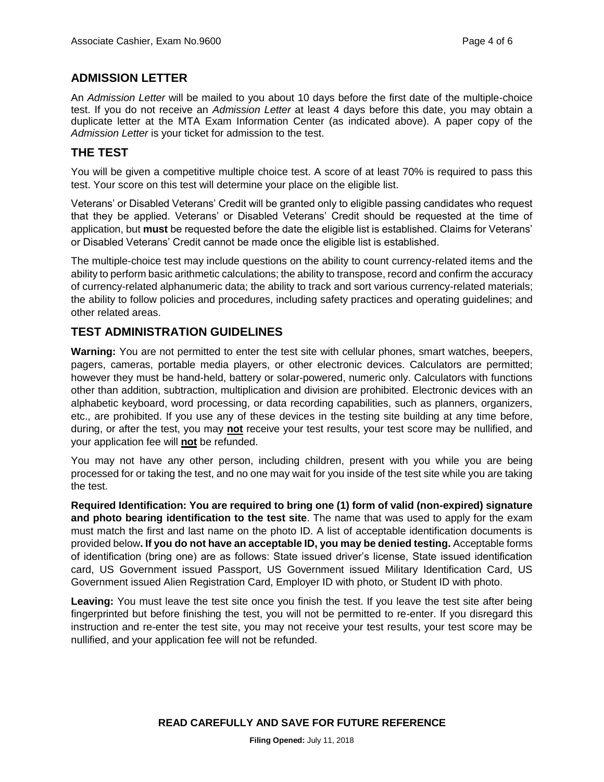# **ADMISSION LETTER**

An *Admission Letter* will be mailed to you about 10 days before the first date of the multiple-choice test. If you do not receive an *Admission Letter* at least 4 days before this date, you may obtain a duplicate letter at the MTA Exam Information Center (as indicated above). A paper copy of the *Admission Letter* is your ticket for admission to the test.

# **THE TEST**

You will be given a competitive multiple choice test. A score of at least 70% is required to pass this test. Your score on this test will determine your place on the eligible list.

Veterans' or Disabled Veterans' Credit will be granted only to eligible passing candidates who request that they be applied. Veterans' or Disabled Veterans' Credit should be requested at the time of application, but **must** be requested before the date the eligible list is established. Claims for Veterans' or Disabled Veterans' Credit cannot be made once the eligible list is established.

The multiple-choice test may include questions on the ability to count currency-related items and the ability to perform basic arithmetic calculations; the ability to transpose, record and confirm the accuracy of currency-related alphanumeric data; the ability to track and sort various currency-related materials; the ability to follow policies and procedures, including safety practices and operating guidelines; and other related areas.

# **TEST ADMINISTRATION GUIDELINES**

**Warning:** You are not permitted to enter the test site with cellular phones, smart watches, beepers, pagers, cameras, portable media players, or other electronic devices. Calculators are permitted; however they must be hand-held, battery or solar-powered, numeric only. Calculators with functions other than addition, subtraction, multiplication and division are prohibited. Electronic devices with an alphabetic keyboard, word processing, or data recording capabilities, such as planners, organizers, etc., are prohibited. If you use any of these devices in the testing site building at any time before, during, or after the test, you may **not** receive your test results, your test score may be nullified, and your application fee will **not** be refunded.

You may not have any other person, including children, present with you while you are being processed for or taking the test, and no one may wait for you inside of the test site while you are taking the test.

**Required Identification: You are required to bring one (1) form of valid (non-expired) signature and photo bearing identification to the test site**. The name that was used to apply for the exam must match the first and last name on the photo ID. A list of acceptable identification documents is provided below**. If you do not have an acceptable ID, you may be denied testing.** Acceptable forms of identification (bring one) are as follows: State issued driver's license, State issued identification card, US Government issued Passport, US Government issued Military Identification Card, US Government issued Alien Registration Card, Employer ID with photo, or Student ID with photo.

**Leaving:** You must leave the test site once you finish the test. If you leave the test site after being fingerprinted but before finishing the test, you will not be permitted to re-enter. If you disregard this instruction and re-enter the test site, you may not receive your test results, your test score may be nullified, and your application fee will not be refunded.

**READ CAREFULLY AND SAVE FOR FUTURE REFERENCE**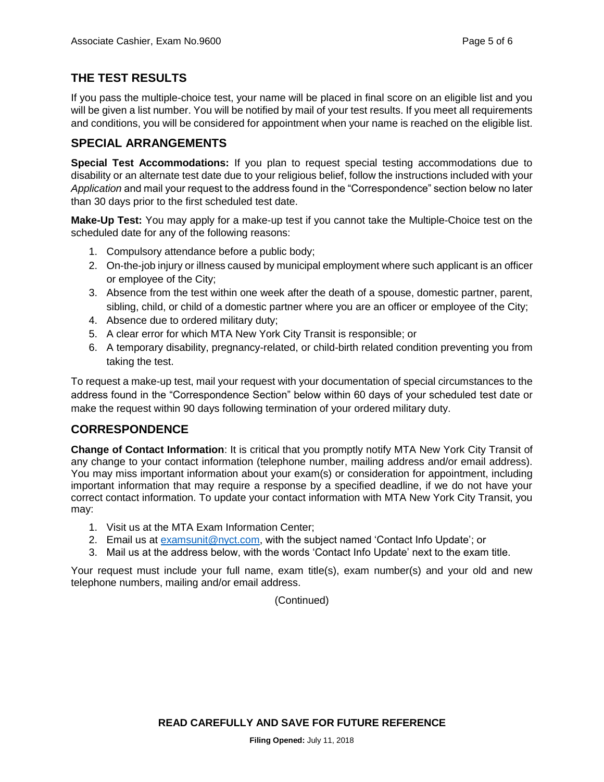# **THE TEST RESULTS**

If you pass the multiple-choice test, your name will be placed in final score on an eligible list and you will be given a list number. You will be notified by mail of your test results. If you meet all requirements and conditions, you will be considered for appointment when your name is reached on the eligible list.

# **SPECIAL ARRANGEMENTS**

**Special Test Accommodations:** If you plan to request special testing accommodations due to disability or an alternate test date due to your religious belief, follow the instructions included with your *Application* and mail your request to the address found in the "Correspondence" section below no later than 30 days prior to the first scheduled test date.

**Make-Up Test:** You may apply for a make-up test if you cannot take the Multiple-Choice test on the scheduled date for any of the following reasons:

- 1. Compulsory attendance before a public body;
- 2. On-the-job injury or illness caused by municipal employment where such applicant is an officer or employee of the City;
- 3. Absence from the test within one week after the death of a spouse, domestic partner, parent, sibling, child, or child of a domestic partner where you are an officer or employee of the City;
- 4. Absence due to ordered military duty;
- 5. A clear error for which MTA New York City Transit is responsible; or
- 6. A temporary disability, pregnancy-related, or child-birth related condition preventing you from taking the test.

To request a make-up test, mail your request with your documentation of special circumstances to the address found in the "Correspondence Section" below within 60 days of your scheduled test date or make the request within 90 days following termination of your ordered military duty.

# **CORRESPONDENCE**

**Change of Contact Information**: It is critical that you promptly notify MTA New York City Transit of any change to your contact information (telephone number, mailing address and/or email address). You may miss important information about your exam(s) or consideration for appointment, including important information that may require a response by a specified deadline, if we do not have your correct contact information. To update your contact information with MTA New York City Transit, you may:

- 1. Visit us at the MTA Exam Information Center;
- 2. Email us at [examsunit@nyct.com,](mailto:examsunit@nyct.com) with the subject named 'Contact Info Update'; or
- 3. Mail us at the address below, with the words 'Contact Info Update' next to the exam title.

Your request must include your full name, exam title(s), exam number(s) and your old and new telephone numbers, mailing and/or email address.

(Continued)

**READ CAREFULLY AND SAVE FOR FUTURE REFERENCE**